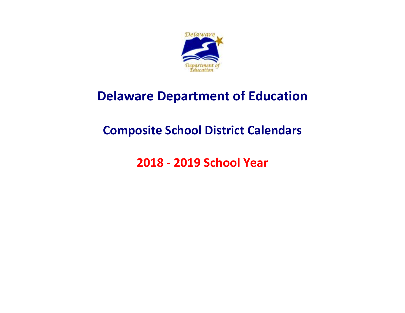

# **Delaware Department of Education**

# **Composite School District Calendars**

**2018 - 2019 School Year**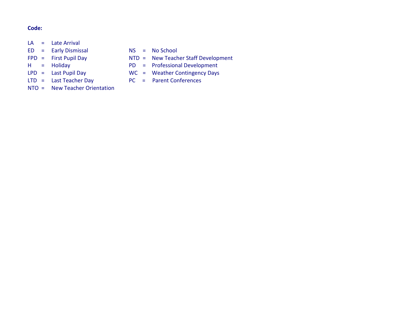#### **Code:**

- $LA =$  Late Arrival
- ED = Early Dismissal NS = No School
- 
- 
- 
- LTD = Last Teacher Day PC = Parent Conferences
- NTO = New Teacher Orientation
- 
- FPD = First Pupil Day NTD = New Teacher Staff Development
- H = Holiday <br>
LPD = Last Pupil Day <br>
WC = Weather Contingency Days
	- $WC = Weather Contingency Days$ 
		-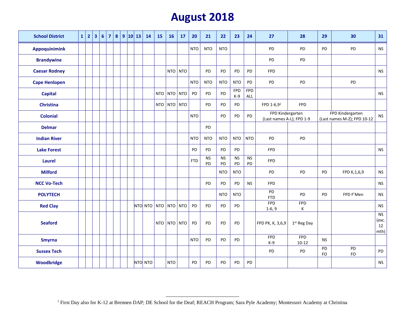#### **August 2018**

| <b>School District</b> | 1 2 | 3 <sup>1</sup> | $6\overline{6}$ | $\overline{7}$ |  | 8 9 10 13 | 14      | <b>15</b> | 16          | 17      | 20         | 21              | 22              | 23                  | 24                | 27                                            | 28                      | 29        | 30                                              | 31                               |
|------------------------|-----|----------------|-----------------|----------------|--|-----------|---------|-----------|-------------|---------|------------|-----------------|-----------------|---------------------|-------------------|-----------------------------------------------|-------------------------|-----------|-------------------------------------------------|----------------------------------|
| <b>Appoquinimink</b>   |     |                |                 |                |  |           |         |           |             |         | <b>NTO</b> | <b>NTO</b>      | <b>NTO</b>      |                     |                   | PD                                            | PD                      | PD        | PD                                              | <b>NS</b>                        |
| <b>Brandywine</b>      |     |                |                 |                |  |           |         |           |             |         |            |                 |                 |                     |                   | PD                                            | PD                      |           |                                                 |                                  |
| <b>Caesar Rodney</b>   |     |                |                 |                |  |           |         |           |             | NTO NTO |            | PD              | PD              | PD                  | <b>PD</b>         | <b>FPD</b>                                    |                         |           |                                                 | <b>NS</b>                        |
| <b>Cape Henlopen</b>   |     |                |                 |                |  |           |         |           |             |         | <b>NTO</b> | <b>NTO</b>      | <b>NTO</b>      | <b>NTO</b>          | PD                | PD                                            | PD                      |           | PD                                              |                                  |
| <b>Capital</b>         |     |                |                 |                |  |           |         |           | NTO NTO NTO |         | PD         | PD              | PD              | <b>FPD</b><br>$K-9$ | <b>FPD</b><br>ALL |                                               |                         |           |                                                 | <b>NS</b>                        |
| <b>Christina</b>       |     |                |                 |                |  |           |         |           | NTO NTO NTO |         |            | PD              | PD              | PD                  |                   | FPD 1-6,91                                    | <b>FPD</b>              |           |                                                 |                                  |
| <b>Colonial</b>        |     |                |                 |                |  |           |         |           |             |         | <b>NTO</b> |                 | PD              | PD                  | <b>PD</b>         | FPD Kindergarten<br>(Last names A-L); FPD 1-9 |                         |           | FPD Kindergarten<br>(Last names M-Z); FPD 10-12 | <b>NS</b>                        |
| <b>Delmar</b>          |     |                |                 |                |  |           |         |           |             |         |            | PD              |                 |                     |                   |                                               |                         |           |                                                 |                                  |
| <b>Indian River</b>    |     |                |                 |                |  |           |         |           |             |         | <b>NTO</b> | <b>NTO</b>      | <b>NTO</b>      | <b>NTO</b>          | <b>NTO</b>        | PD                                            | PD                      |           |                                                 |                                  |
| <b>Lake Forest</b>     |     |                |                 |                |  |           |         |           |             |         | PD         | <b>PD</b>       | PD              | <b>PD</b>           |                   | <b>FPD</b>                                    |                         |           |                                                 | <b>NS</b>                        |
| <b>Laurel</b>          |     |                |                 |                |  |           |         |           |             |         | <b>FTD</b> | <b>NS</b><br>PD | <b>NS</b><br>PD | <b>NS</b><br>PD     | <b>NS</b><br>PD   | <b>FPD</b>                                    |                         |           |                                                 |                                  |
| <b>Milford</b>         |     |                |                 |                |  |           |         |           |             |         |            |                 | <b>NTO</b>      | <b>NTO</b>          |                   | PD                                            | PD                      | PD        | FPD K, 1, 6, 9                                  | <b>NS</b>                        |
| <b>NCC Vo-Tech</b>     |     |                |                 |                |  |           |         |           |             |         |            | PD              | PD              | <b>PD</b>           | <b>NS</b>         | <b>FPD</b>                                    |                         |           |                                                 | $\mathsf{NS}\xspace$             |
| <b>POLYTECH</b>        |     |                |                 |                |  |           |         |           |             |         |            |                 | <b>NTO</b>      | <b>NTO</b>          |                   | PD<br><b>FTD</b>                              | PD                      | PD        | FPD F'Men                                       | <b>NS</b>                        |
| <b>Red Clay</b>        |     |                |                 |                |  |           | NTO NTO |           | NTO NTO NTO |         | PD         | PD              | PD              | PD                  |                   | <b>FPD</b><br>$1-6, 9$                        | <b>FPD</b><br>К         |           |                                                 | <b>NS</b>                        |
| <b>Seaford</b>         |     |                |                 |                |  |           |         |           | NTO NTO NTO |         | PD         | PD              | PD              | PD                  |                   | FPD PK, K, 3,6,9                              | 1st Reg Day             |           |                                                 | <b>NS</b><br>(exc.<br>12<br>mth) |
| <b>Smyrna</b>          |     |                |                 |                |  |           |         |           |             |         | <b>NTO</b> | PD              | PD              | PD                  |                   | <b>FPD</b><br>$K-9$                           | <b>FPD</b><br>$10 - 12$ | <b>NS</b> |                                                 |                                  |
| <b>Sussex Tech</b>     |     |                |                 |                |  |           |         |           |             |         |            |                 |                 |                     |                   | PD                                            | PD                      | PD<br>FO  | PD<br>FO                                        | PD                               |
| Woodbridge             |     |                |                 |                |  |           | NTO NTO |           | <b>NTO</b>  |         | PD         | PD              | PD              | PD                  | PD                |                                               |                         |           |                                                 | <b>NS</b>                        |

 $\overline{a}$ 

<sup>&</sup>lt;sup>1</sup> First Day also for K-12 at Brennen DAP; DE School for the Deaf; REACH Program; Sara Pyle Academy; Montessori Academy at Christina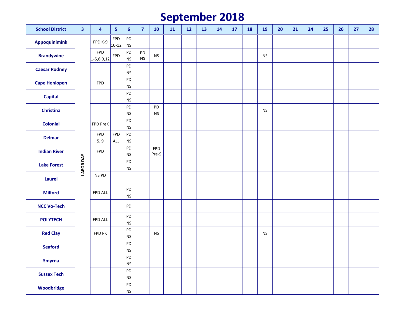# **September 201 8**

| <b>School District</b> | 3         | 4                          | 5                            | $6\phantom{1}$                     | $\overline{7}$  | <b>10</b>           | 11 | 12 | 13 | 14 | 17 | <b>18</b> | 19                   | 20 | 21 | 24 | 25 | 26 | 27 | 28 |
|------------------------|-----------|----------------------------|------------------------------|------------------------------------|-----------------|---------------------|----|----|----|----|----|-----------|----------------------|----|----|----|----|----|----|----|
| Appoquinimink          |           | FPD K-9                    | FPD<br>$10-12$               | PD<br><b>NS</b>                    |                 |                     |    |    |    |    |    |           |                      |    |    |    |    |    |    |    |
| <b>Brandywine</b>      |           | <b>FPD</b><br>$1-5,6,9,12$ | FPD                          | PD<br>$\mathsf{NS}\xspace$         | PD<br><b>NS</b> | <b>NS</b>           |    |    |    |    |    |           | <b>NS</b>            |    |    |    |    |    |    |    |
| <b>Caesar Rodney</b>   |           |                            |                              | PD<br><b>NS</b>                    |                 |                     |    |    |    |    |    |           |                      |    |    |    |    |    |    |    |
| <b>Cape Henlopen</b>   |           | <b>FPD</b>                 |                              | PD<br><b>NS</b>                    |                 |                     |    |    |    |    |    |           |                      |    |    |    |    |    |    |    |
| <b>Capital</b>         |           |                            |                              | PD<br><b>NS</b>                    |                 |                     |    |    |    |    |    |           |                      |    |    |    |    |    |    |    |
| <b>Christina</b>       |           |                            |                              | PD<br><b>NS</b>                    |                 | PD<br><b>NS</b>     |    |    |    |    |    |           | <b>NS</b>            |    |    |    |    |    |    |    |
| <b>Colonial</b>        |           | FPD PreK                   |                              | PD<br><b>NS</b>                    |                 |                     |    |    |    |    |    |           |                      |    |    |    |    |    |    |    |
| <b>Delmar</b>          |           | FPD<br>5, 9                | <b>FPD</b><br>$\mathsf{ALL}$ | PD<br>${\sf NS}$                   |                 |                     |    |    |    |    |    |           |                      |    |    |    |    |    |    |    |
| <b>Indian River</b>    |           | <b>FPD</b>                 |                              | PD<br><b>NS</b>                    |                 | <b>FPD</b><br>Pre-S |    |    |    |    |    |           |                      |    |    |    |    |    |    |    |
| <b>Lake Forest</b>     | LABOR DAY |                            |                              | PD<br><b>NS</b>                    |                 |                     |    |    |    |    |    |           |                      |    |    |    |    |    |    |    |
| Laurel                 |           | NS PD                      |                              |                                    |                 |                     |    |    |    |    |    |           |                      |    |    |    |    |    |    |    |
| <b>Milford</b>         |           | FPD ALL                    |                              | PD<br><b>NS</b>                    |                 |                     |    |    |    |    |    |           |                      |    |    |    |    |    |    |    |
| <b>NCC Vo-Tech</b>     |           |                            |                              | PD                                 |                 |                     |    |    |    |    |    |           |                      |    |    |    |    |    |    |    |
| <b>POLYTECH</b>        |           | FPD ALL                    |                              | PD<br><b>NS</b>                    |                 |                     |    |    |    |    |    |           |                      |    |    |    |    |    |    |    |
| <b>Red Clay</b>        |           | FPD PK                     |                              | PD<br><b>NS</b>                    |                 | <b>NS</b>           |    |    |    |    |    |           | $\mathsf{NS}\xspace$ |    |    |    |    |    |    |    |
| <b>Seaford</b>         |           |                            |                              | PD<br><b>NS</b>                    |                 |                     |    |    |    |    |    |           |                      |    |    |    |    |    |    |    |
| <b>Smyrna</b>          |           |                            |                              | ${\sf PD}$<br>$\mathsf{NS}\xspace$ |                 |                     |    |    |    |    |    |           |                      |    |    |    |    |    |    |    |
| <b>Sussex Tech</b>     |           |                            |                              | PD<br><b>NS</b>                    |                 |                     |    |    |    |    |    |           |                      |    |    |    |    |    |    |    |
| Woodbridge             |           |                            |                              | ${\sf PD}$<br>$\mathsf{NS}\xspace$ |                 |                     |    |    |    |    |    |           |                      |    |    |    |    |    |    |    |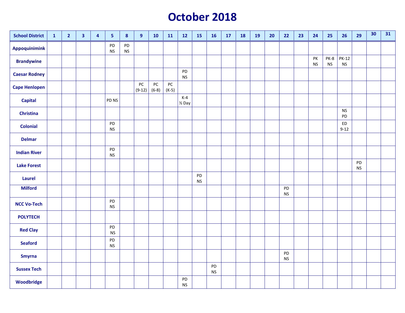# **October 201 8**

| <b>School District</b> | $\mathbf{1}$ | $\overline{\mathbf{2}}$ | $\overline{\mathbf{3}}$ | $\overline{\mathbf{4}}$ | $\overline{\mathbf{5}}$    | $\pmb{8}$       | $\boldsymbol{9}$ | 10            | <b>11</b>     | 12                         | <b>15</b>       | <b>16</b>       | 17 | 18 | 19 | 20 | 22              | 23 | 24              | 25                | 26                        | 29              | 30 | 31 |
|------------------------|--------------|-------------------------|-------------------------|-------------------------|----------------------------|-----------------|------------------|---------------|---------------|----------------------------|-----------------|-----------------|----|----|----|----|-----------------|----|-----------------|-------------------|---------------------------|-----------------|----|----|
| Appoquinimink          |              |                         |                         |                         | PD<br><b>NS</b>            | PD<br><b>NS</b> |                  |               |               |                            |                 |                 |    |    |    |    |                 |    |                 |                   |                           |                 |    |    |
| <b>Brandywine</b>      |              |                         |                         |                         |                            |                 |                  |               |               |                            |                 |                 |    |    |    |    |                 |    | PK<br><b>NS</b> | PK-8<br><b>NS</b> | <b>PK-12</b><br><b>NS</b> |                 |    |    |
| <b>Caesar Rodney</b>   |              |                         |                         |                         |                            |                 |                  |               |               | PD<br><b>NS</b>            |                 |                 |    |    |    |    |                 |    |                 |                   |                           |                 |    |    |
| <b>Cape Henlopen</b>   |              |                         |                         |                         |                            |                 | PC<br>$(9-12)$   | PC<br>$(6-8)$ | PC<br>$(K-5)$ |                            |                 |                 |    |    |    |    |                 |    |                 |                   |                           |                 |    |    |
| <b>Capital</b>         |              |                         |                         |                         | PD <sub>NS</sub>           |                 |                  |               |               | $K-4$<br>$\frac{1}{2}$ Day |                 |                 |    |    |    |    |                 |    |                 |                   |                           |                 |    |    |
| <b>Christina</b>       |              |                         |                         |                         |                            |                 |                  |               |               |                            |                 |                 |    |    |    |    |                 |    |                 |                   | <b>NS</b><br>PD           |                 |    |    |
| <b>Colonial</b>        |              |                         |                         |                         | PD<br><b>NS</b>            |                 |                  |               |               |                            |                 |                 |    |    |    |    |                 |    |                 |                   | <b>ED</b><br>$9 - 12$     |                 |    |    |
| <b>Delmar</b>          |              |                         |                         |                         |                            |                 |                  |               |               |                            |                 |                 |    |    |    |    |                 |    |                 |                   |                           |                 |    |    |
| <b>Indian River</b>    |              |                         |                         |                         | PD<br><b>NS</b>            |                 |                  |               |               |                            |                 |                 |    |    |    |    |                 |    |                 |                   |                           |                 |    |    |
| <b>Lake Forest</b>     |              |                         |                         |                         |                            |                 |                  |               |               |                            |                 |                 |    |    |    |    |                 |    |                 |                   |                           | PD<br><b>NS</b> |    |    |
| Laurel                 |              |                         |                         |                         |                            |                 |                  |               |               |                            | PD<br><b>NS</b> |                 |    |    |    |    |                 |    |                 |                   |                           |                 |    |    |
| <b>Milford</b>         |              |                         |                         |                         |                            |                 |                  |               |               |                            |                 |                 |    |    |    |    | PD<br><b>NS</b> |    |                 |                   |                           |                 |    |    |
| <b>NCC Vo-Tech</b>     |              |                         |                         |                         | PD<br>$\mathsf{NS}\xspace$ |                 |                  |               |               |                            |                 |                 |    |    |    |    |                 |    |                 |                   |                           |                 |    |    |
| <b>POLYTECH</b>        |              |                         |                         |                         |                            |                 |                  |               |               |                            |                 |                 |    |    |    |    |                 |    |                 |                   |                           |                 |    |    |
| <b>Red Clay</b>        |              |                         |                         |                         | ${\sf PD}$<br><b>NS</b>    |                 |                  |               |               |                            |                 |                 |    |    |    |    |                 |    |                 |                   |                           |                 |    |    |
| <b>Seaford</b>         |              |                         |                         |                         | ${\sf PD}$<br><b>NS</b>    |                 |                  |               |               |                            |                 |                 |    |    |    |    |                 |    |                 |                   |                           |                 |    |    |
| <b>Smyrna</b>          |              |                         |                         |                         |                            |                 |                  |               |               |                            |                 |                 |    |    |    |    | PD<br><b>NS</b> |    |                 |                   |                           |                 |    |    |
| <b>Sussex Tech</b>     |              |                         |                         |                         |                            |                 |                  |               |               |                            |                 | PD<br><b>NS</b> |    |    |    |    |                 |    |                 |                   |                           |                 |    |    |
| Woodbridge             |              |                         |                         |                         |                            |                 |                  |               |               | PD<br><b>NS</b>            |                 |                 |    |    |    |    |                 |    |                 |                   |                           |                 |    |    |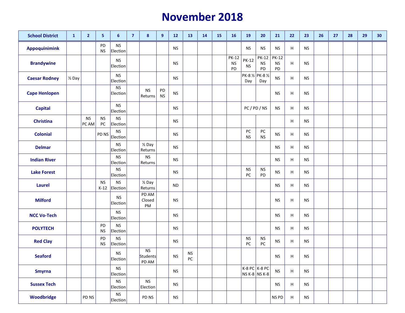#### **November 2018**

| <b>School District</b> | $\mathbf{1}$      | $\overline{2}$     | $\overline{\mathbf{5}}$ | 6                            | $\overline{7}$ | 8                              | 9               | 12                   | 13                      | 14 | <b>15</b> | <b>16</b>                       | 19                               | 20                               | 21                              | 22 | 23        | 26 | 27 | 28 | 29 | 30 |
|------------------------|-------------------|--------------------|-------------------------|------------------------------|----------------|--------------------------------|-----------------|----------------------|-------------------------|----|-----------|---------------------------------|----------------------------------|----------------------------------|---------------------------------|----|-----------|----|----|----|----|----|
| <b>Appoquinimink</b>   |                   |                    | PD<br><b>NS</b>         | <b>NS</b><br>Election        |                |                                |                 | <b>NS</b>            |                         |    |           |                                 | <b>NS</b>                        | <b>NS</b>                        | <b>NS</b>                       | H  | <b>NS</b> |    |    |    |    |    |
| <b>Brandywine</b>      |                   |                    |                         | <b>NS</b><br>Election        |                |                                |                 | <b>NS</b>            |                         |    |           | <b>PK-12</b><br><b>NS</b><br>PD | <b>PK-12</b><br><b>NS</b>        | <b>PK-12</b><br>${\sf NS}$<br>PD | <b>PK-12</b><br><b>NS</b><br>PD | н  | <b>NS</b> |    |    |    |    |    |
| <b>Caesar Rodney</b>   | $\frac{1}{2}$ Day |                    |                         | <b>NS</b><br>Election        |                |                                |                 | <b>NS</b>            |                         |    |           |                                 | PK-8 1/2 PK-8 1/2<br>Day         | Day                              | <b>NS</b>                       | H  | <b>NS</b> |    |    |    |    |    |
| <b>Cape Henlopen</b>   |                   |                    |                         | ${\sf NS}$<br>Election       |                | <b>NS</b><br>Returns           | PD<br><b>NS</b> | <b>NS</b>            |                         |    |           |                                 |                                  |                                  | <b>NS</b>                       | н  | <b>NS</b> |    |    |    |    |    |
| <b>Capital</b>         |                   |                    |                         | <b>NS</b><br>Election        |                |                                |                 | <b>NS</b>            |                         |    |           |                                 | PC/PD/NS                         |                                  | <b>NS</b>                       | H  | <b>NS</b> |    |    |    |    |    |
| <b>Christina</b>       |                   | <b>NS</b><br>PC AM | <b>NS</b><br>PC         | <b>NS</b><br>Election        |                |                                |                 | <b>NS</b>            |                         |    |           |                                 |                                  |                                  |                                 | н  | <b>NS</b> |    |    |    |    |    |
| <b>Colonial</b>        |                   |                    | PD NS                   | <b>NS</b><br>Election        |                |                                |                 | <b>NS</b>            |                         |    |           |                                 | PC<br><b>NS</b>                  | $PC$<br><b>NS</b>                | <b>NS</b>                       | H  | <b>NS</b> |    |    |    |    |    |
| <b>Delmar</b>          |                   |                    |                         | <b>NS</b><br>Election        |                | $\frac{1}{2}$ Day<br>Returns   |                 | <b>NS</b>            |                         |    |           |                                 |                                  |                                  | <b>NS</b>                       | H  | <b>NS</b> |    |    |    |    |    |
| <b>Indian River</b>    |                   |                    |                         | <b>NS</b><br>Election        |                | ${\sf NS}$<br>Returns          |                 | <b>NS</b>            |                         |    |           |                                 |                                  |                                  | <b>NS</b>                       | H  | <b>NS</b> |    |    |    |    |    |
| <b>Lake Forest</b>     |                   |                    |                         | <b>NS</b><br>Election        |                |                                |                 | <b>NS</b>            |                         |    |           |                                 | <b>NS</b><br>PC                  | $\mathsf{NS}\xspace$<br>PD       | <b>NS</b>                       | H  | <b>NS</b> |    |    |    |    |    |
| <b>Laurel</b>          |                   |                    | <b>NS</b><br>$K-12$     | <b>NS</b><br>Election        |                | $\frac{1}{2}$ Day<br>Returns   |                 | <b>ND</b>            |                         |    |           |                                 |                                  |                                  | <b>NS</b>                       | н  | <b>NS</b> |    |    |    |    |    |
| <b>Milford</b>         |                   |                    |                         | <b>NS</b><br>Election        |                | PD AM<br>Closed<br>PM          |                 | <b>NS</b>            |                         |    |           |                                 |                                  |                                  | <b>NS</b>                       | н  | <b>NS</b> |    |    |    |    |    |
| <b>NCC Vo-Tech</b>     |                   |                    |                         | <b>NS</b><br>Election        |                |                                |                 | <b>NS</b>            |                         |    |           |                                 |                                  |                                  | <b>NS</b>                       | н  | <b>NS</b> |    |    |    |    |    |
| <b>POLYTECH</b>        |                   |                    | PD<br><b>NS</b>         | <b>NS</b><br>Election        |                |                                |                 | <b>NS</b>            |                         |    |           |                                 |                                  |                                  | <b>NS</b>                       | н  | <b>NS</b> |    |    |    |    |    |
| <b>Red Clay</b>        |                   |                    | PD<br><b>NS</b>         | <b>NS</b><br>Election        |                |                                |                 | <b>NS</b>            |                         |    |           |                                 | <b>NS</b><br>PC                  | $\mathsf{NS}\xspace$<br>PC       | <b>NS</b>                       | н  | <b>NS</b> |    |    |    |    |    |
| <b>Seaford</b>         |                   |                    |                         | <b>NS</b><br><b>Election</b> |                | <b>NS</b><br>Students<br>PD AM |                 | <b>NS</b>            | <b>NS</b><br>${\sf PC}$ |    |           |                                 |                                  |                                  | <b>NS</b>                       | н  | <b>NS</b> |    |    |    |    |    |
| <b>Smyrna</b>          |                   |                    |                         | <b>NS</b><br>Election        |                |                                |                 | $\mathsf{NS}\xspace$ |                         |    |           |                                 | K-8 PC $K-8$ PC<br>NS K-8 NS K-8 |                                  | <b>NS</b>                       | н  | <b>NS</b> |    |    |    |    |    |
| <b>Sussex Tech</b>     |                   |                    |                         | ${\sf NS}$<br>Election       |                | <b>NS</b><br>Election          |                 | <b>NS</b>            |                         |    |           |                                 |                                  |                                  | $\mathsf{NS}\xspace$            | н  | <b>NS</b> |    |    |    |    |    |
| Woodbridge             |                   | PD NS              |                         | ${\sf NS}$<br>Election       |                | PD NS                          |                 | <b>NS</b>            |                         |    |           |                                 |                                  |                                  | NS PD                           | H  | <b>NS</b> |    |    |    |    |    |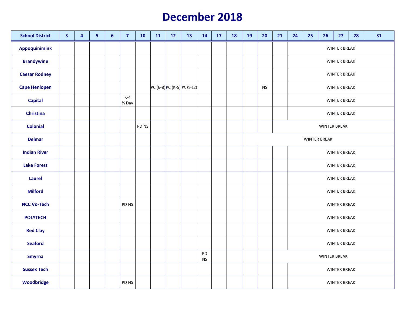#### **December 2018**

| <b>School District</b> | $\overline{\mathbf{3}}$ | $\overline{4}$ | 5 <sub>5</sub> | $6\phantom{a}$ | $\overline{7}$             | 10               | 11 | 12 | 13                          | 14       | 17 | <b>18</b> | <b>19</b> | 20        | 21 | 24<br>25<br>27<br>28<br>31<br>26 |                     |                     |                     |  |  |  |  |  |  |  |  |
|------------------------|-------------------------|----------------|----------------|----------------|----------------------------|------------------|----|----|-----------------------------|----------|----|-----------|-----------|-----------|----|----------------------------------|---------------------|---------------------|---------------------|--|--|--|--|--|--|--|--|
| Appoquinimink          |                         |                |                |                |                            |                  |    |    |                             |          |    |           |           |           |    | <b>WINTER BREAK</b>              |                     |                     |                     |  |  |  |  |  |  |  |  |
| <b>Brandywine</b>      |                         |                |                |                |                            |                  |    |    |                             |          |    |           |           |           |    |                                  |                     |                     | <b>WINTER BREAK</b> |  |  |  |  |  |  |  |  |
| <b>Caesar Rodney</b>   |                         |                |                |                |                            |                  |    |    |                             |          |    |           |           |           |    |                                  |                     |                     | <b>WINTER BREAK</b> |  |  |  |  |  |  |  |  |
| <b>Cape Henlopen</b>   |                         |                |                |                |                            |                  |    |    | PC (6-8) PC (K-5) PC (9-12) |          |    |           |           | <b>NS</b> |    |                                  |                     |                     | <b>WINTER BREAK</b> |  |  |  |  |  |  |  |  |
| <b>Capital</b>         |                         |                |                |                | $K-4$<br>$\frac{1}{2}$ Day |                  |    |    |                             |          |    |           |           |           |    |                                  |                     |                     | <b>WINTER BREAK</b> |  |  |  |  |  |  |  |  |
| <b>Christina</b>       |                         |                |                |                |                            |                  |    |    |                             |          |    |           |           |           |    |                                  |                     |                     | <b>WINTER BREAK</b> |  |  |  |  |  |  |  |  |
| <b>Colonial</b>        |                         |                |                |                |                            | PD <sub>NS</sub> |    |    |                             |          |    |           |           |           |    |                                  |                     | <b>WINTER BREAK</b> |                     |  |  |  |  |  |  |  |  |
| <b>Delmar</b>          |                         |                |                |                |                            |                  |    |    |                             |          |    |           |           |           |    |                                  | <b>WINTER BREAK</b> |                     |                     |  |  |  |  |  |  |  |  |
| <b>Indian River</b>    |                         |                |                |                |                            |                  |    |    |                             |          |    |           |           |           |    |                                  |                     |                     | <b>WINTER BREAK</b> |  |  |  |  |  |  |  |  |
| <b>Lake Forest</b>     |                         |                |                |                |                            |                  |    |    |                             |          |    |           |           |           |    |                                  |                     |                     | <b>WINTER BREAK</b> |  |  |  |  |  |  |  |  |
| Laurel                 |                         |                |                |                |                            |                  |    |    |                             |          |    |           |           |           |    |                                  |                     |                     | <b>WINTER BREAK</b> |  |  |  |  |  |  |  |  |
| <b>Milford</b>         |                         |                |                |                |                            |                  |    |    |                             |          |    |           |           |           |    |                                  |                     |                     | <b>WINTER BREAK</b> |  |  |  |  |  |  |  |  |
| <b>NCC Vo-Tech</b>     |                         |                |                |                | PD NS                      |                  |    |    |                             |          |    |           |           |           |    |                                  |                     |                     | <b>WINTER BREAK</b> |  |  |  |  |  |  |  |  |
| <b>POLYTECH</b>        |                         |                |                |                |                            |                  |    |    |                             |          |    |           |           |           |    |                                  |                     |                     | <b>WINTER BREAK</b> |  |  |  |  |  |  |  |  |
| <b>Red Clay</b>        |                         |                |                |                |                            |                  |    |    |                             |          |    |           |           |           |    |                                  |                     |                     | <b>WINTER BREAK</b> |  |  |  |  |  |  |  |  |
| <b>Seaford</b>         |                         |                |                |                |                            |                  |    |    |                             |          |    |           |           |           |    |                                  | <b>WINTER BREAK</b> |                     |                     |  |  |  |  |  |  |  |  |
| <b>Smyrna</b>          |                         |                |                |                |                            |                  |    |    |                             | PD<br>NS |    |           |           |           |    |                                  | <b>WINTER BREAK</b> |                     |                     |  |  |  |  |  |  |  |  |
| <b>Sussex Tech</b>     |                         |                |                |                |                            |                  |    |    |                             |          |    |           |           |           |    |                                  |                     |                     | <b>WINTER BREAK</b> |  |  |  |  |  |  |  |  |
| Woodbridge             |                         |                |                |                | PD NS                      |                  |    |    |                             |          |    |           |           |           |    | <b>WINTER BREAK</b>              |                     |                     |                     |  |  |  |  |  |  |  |  |
|                        |                         |                |                |                |                            |                  |    |    |                             |          |    |           |           |           |    |                                  |                     |                     |                     |  |  |  |  |  |  |  |  |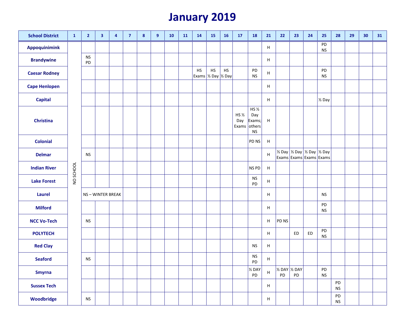# **January 2019**

| <b>School District</b> | $\mathbf{1}$ | $\overline{2}$  | 3               | 4 | $\overline{7}$ | 8 | 9 | 10 | 11 | 14                          | <b>15</b> | <b>16</b> | 17                      | <b>18</b>                                            | 21                        | 22                    | 23 | 24                                                                                                 | 25                         | 28              | 29 | 30 | 31 |
|------------------------|--------------|-----------------|-----------------|---|----------------|---|---|----|----|-----------------------------|-----------|-----------|-------------------------|------------------------------------------------------|---------------------------|-----------------------|----|----------------------------------------------------------------------------------------------------|----------------------------|-----------------|----|----|----|
| <b>Appoquinimink</b>   |              |                 |                 |   |                |   |   |    |    |                             |           |           |                         |                                                      | H                         |                       |    |                                                                                                    | PD<br><b>NS</b>            |                 |    |    |    |
| <b>Brandywine</b>      |              | <b>NS</b><br>PD |                 |   |                |   |   |    |    |                             |           |           |                         |                                                      | H                         |                       |    |                                                                                                    |                            |                 |    |    |    |
| <b>Caesar Rodney</b>   |              |                 |                 |   |                |   |   |    |    | HS<br>Exams 1/2 Day 1/2 Day | HS        | <b>HS</b> |                         | PD<br><b>NS</b>                                      | H                         |                       |    |                                                                                                    | PD<br><b>NS</b>            |                 |    |    |    |
| <b>Cape Henlopen</b>   |              |                 |                 |   |                |   |   |    |    |                             |           |           |                         |                                                      | H                         |                       |    |                                                                                                    |                            |                 |    |    |    |
| <b>Capital</b>         |              |                 |                 |   |                |   |   |    |    |                             |           |           |                         |                                                      | H                         |                       |    |                                                                                                    | 1/ <sub>2</sub> Day        |                 |    |    |    |
| Christina              |              |                 |                 |   |                |   |   |    |    |                             |           |           | HS $\frac{1}{2}$<br>Day | HS 1/2<br>Day<br>Exams;<br>Exams others<br><b>NS</b> | $\,$ H                    |                       |    |                                                                                                    |                            |                 |    |    |    |
| <b>Colonial</b>        |              |                 |                 |   |                |   |   |    |    |                             |           |           |                         | PD NS                                                | $\,$ H                    |                       |    |                                                                                                    |                            |                 |    |    |    |
| <b>Delmar</b>          |              | <b>NS</b>       |                 |   |                |   |   |    |    |                             |           |           |                         |                                                      | H                         |                       |    | $\frac{1}{2}$ Day $\frac{1}{2}$ Day $\frac{1}{2}$ Day $\frac{1}{2}$ Day<br>Exams Exams Exams Exams |                            |                 |    |    |    |
| <b>Indian River</b>    | NO SCHOOL    |                 |                 |   |                |   |   |    |    |                             |           |           |                         | NS PD                                                | $\boldsymbol{\mathsf{H}}$ |                       |    |                                                                                                    |                            |                 |    |    |    |
| <b>Lake Forest</b>     |              |                 |                 |   |                |   |   |    |    |                             |           |           |                         | <b>NS</b><br>PD                                      | H                         |                       |    |                                                                                                    |                            |                 |    |    |    |
| <b>Laurel</b>          |              |                 | NS-WINTER BREAK |   |                |   |   |    |    |                             |           |           |                         |                                                      | H                         |                       |    |                                                                                                    | <b>NS</b>                  |                 |    |    |    |
| <b>Milford</b>         |              |                 |                 |   |                |   |   |    |    |                             |           |           |                         |                                                      | H                         |                       |    |                                                                                                    | PD<br><b>NS</b>            |                 |    |    |    |
| <b>NCC Vo-Tech</b>     |              | <b>NS</b>       |                 |   |                |   |   |    |    |                             |           |           |                         |                                                      | H                         | PD NS                 |    |                                                                                                    |                            |                 |    |    |    |
| <b>POLYTECH</b>        |              |                 |                 |   |                |   |   |    |    |                             |           |           |                         |                                                      | H                         |                       | ED | ${\sf ED}$                                                                                         | ${\sf PD}$<br><b>NS</b>    |                 |    |    |    |
| <b>Red Clay</b>        |              |                 |                 |   |                |   |   |    |    |                             |           |           |                         | <b>NS</b>                                            | H                         |                       |    |                                                                                                    |                            |                 |    |    |    |
| <b>Seaford</b>         |              | <b>NS</b>       |                 |   |                |   |   |    |    |                             |           |           |                         | <b>NS</b><br>PD                                      | H                         |                       |    |                                                                                                    |                            |                 |    |    |    |
| <b>Smyrna</b>          |              |                 |                 |   |                |   |   |    |    |                             |           |           |                         | $\%$ DAY<br>PD                                       | $\boldsymbol{\mathsf{H}}$ | 1/2 DAY 1/2 DAY<br>PD | PD |                                                                                                    | PD<br>$\mathsf{NS}\xspace$ |                 |    |    |    |
| <b>Sussex Tech</b>     |              |                 |                 |   |                |   |   |    |    |                             |           |           |                         |                                                      | H                         |                       |    |                                                                                                    |                            | PD<br><b>NS</b> |    |    |    |
| Woodbridge             |              | ${\sf NS}$      |                 |   |                |   |   |    |    |                             |           |           |                         |                                                      | H                         |                       |    |                                                                                                    |                            | PD<br><b>NS</b> |    |    |    |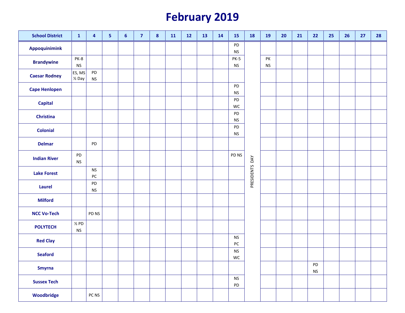# **February 201 9**

| <b>School District</b> | $\mathbf{1}$                   | $\overline{4}$             | 5 <sub>5</sub> | 6 | $\overline{7}$ | $\boldsymbol{8}$ | 11 | 12 | 13 | 14 | <b>15</b>                    | <b>18</b>         | <b>19</b>  | 20 | 21 | 22               | 25 | 26 | 27 | 28 |
|------------------------|--------------------------------|----------------------------|----------------|---|----------------|------------------|----|----|----|----|------------------------------|-------------------|------------|----|----|------------------|----|----|----|----|
| Appoquinimink          |                                |                            |                |   |                |                  |    |    |    |    | PD<br>$\mathsf{NS}\xspace$   |                   |            |    |    |                  |    |    |    |    |
| <b>Brandywine</b>      | PK-8                           |                            |                |   |                |                  |    |    |    |    | PK-5                         |                   | PK         |    |    |                  |    |    |    |    |
| <b>Caesar Rodney</b>   | $\mathsf{NS}\xspace$<br>ES, MS | PD                         |                |   |                |                  |    |    |    |    | <b>NS</b>                    |                   | ${\sf NS}$ |    |    |                  |    |    |    |    |
|                        | $\frac{1}{2}$ Day              | <b>NS</b>                  |                |   |                |                  |    |    |    |    | PD                           |                   |            |    |    |                  |    |    |    |    |
| <b>Cape Henlopen</b>   |                                |                            |                |   |                |                  |    |    |    |    | $\mathsf{NS}\xspace$         |                   |            |    |    |                  |    |    |    |    |
| <b>Capital</b>         |                                |                            |                |   |                |                  |    |    |    |    | PD<br>WC                     |                   |            |    |    |                  |    |    |    |    |
| <b>Christina</b>       |                                |                            |                |   |                |                  |    |    |    |    | PD<br>$\mathsf{NS}\xspace$   |                   |            |    |    |                  |    |    |    |    |
| <b>Colonial</b>        |                                |                            |                |   |                |                  |    |    |    |    | PD                           |                   |            |    |    |                  |    |    |    |    |
|                        |                                |                            |                |   |                |                  |    |    |    |    | <b>NS</b>                    |                   |            |    |    |                  |    |    |    |    |
| <b>Delmar</b>          |                                | PD                         |                |   |                |                  |    |    |    |    |                              |                   |            |    |    |                  |    |    |    |    |
| <b>Indian River</b>    | PD<br>${\sf NS}$               |                            |                |   |                |                  |    |    |    |    | PD NS                        | DAY               |            |    |    |                  |    |    |    |    |
| <b>Lake Forest</b>     |                                | <b>NS</b><br>${\sf PC}$    |                |   |                |                  |    |    |    |    |                              | <b>PRESIDENTS</b> |            |    |    |                  |    |    |    |    |
| <b>Laurel</b>          |                                | PD<br>$\mathsf{NS}\xspace$ |                |   |                |                  |    |    |    |    |                              |                   |            |    |    |                  |    |    |    |    |
| <b>Milford</b>         |                                |                            |                |   |                |                  |    |    |    |    |                              |                   |            |    |    |                  |    |    |    |    |
| <b>NCC Vo-Tech</b>     |                                | PD NS                      |                |   |                |                  |    |    |    |    |                              |                   |            |    |    |                  |    |    |    |    |
| <b>POLYTECH</b>        | $\frac{1}{2}$ PD<br>${\sf NS}$ |                            |                |   |                |                  |    |    |    |    |                              |                   |            |    |    |                  |    |    |    |    |
| <b>Red Clay</b>        |                                |                            |                |   |                |                  |    |    |    |    | $\mathsf{NS}\xspace$<br>$PC$ |                   |            |    |    |                  |    |    |    |    |
| <b>Seaford</b>         |                                |                            |                |   |                |                  |    |    |    |    | $\mathsf{NS}\xspace$<br>WC   |                   |            |    |    |                  |    |    |    |    |
| <b>Smyrna</b>          |                                |                            |                |   |                |                  |    |    |    |    |                              |                   |            |    |    | PD<br>${\sf NS}$ |    |    |    |    |
| <b>Sussex Tech</b>     |                                |                            |                |   |                |                  |    |    |    |    | <b>NS</b><br>PD              |                   |            |    |    |                  |    |    |    |    |
| Woodbridge             |                                | PC NS                      |                |   |                |                  |    |    |    |    |                              |                   |            |    |    |                  |    |    |    |    |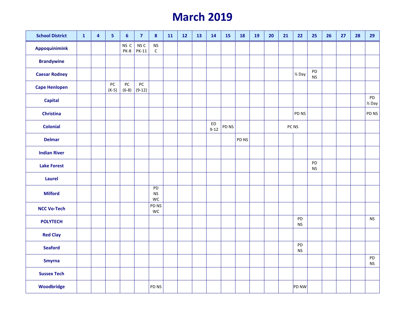# **March 2019**

| <b>School District</b> | $\mathbf{1}$ | $\overline{\mathbf{4}}$ | $\overline{\mathbf{5}}$ | $\boldsymbol{6}$      | $\overline{7}$                  | 8                                   | 11 | 12 | 13 | 14             | 15    | 18    | 19 | 20 | 21 | 22                | 25                      | 26 | 27 | 28 | 29                      |
|------------------------|--------------|-------------------------|-------------------------|-----------------------|---------------------------------|-------------------------------------|----|----|----|----------------|-------|-------|----|----|----|-------------------|-------------------------|----|----|----|-------------------------|
| Appoquinimink          |              |                         |                         | NS C<br>PK-8          | NS <sub>C</sub><br><b>PK-11</b> | $\mathsf{NS}\xspace$<br>$\mathsf C$ |    |    |    |                |       |       |    |    |    |                   |                         |    |    |    |                         |
| <b>Brandywine</b>      |              |                         |                         |                       |                                 |                                     |    |    |    |                |       |       |    |    |    |                   |                         |    |    |    |                         |
| <b>Caesar Rodney</b>   |              |                         |                         |                       |                                 |                                     |    |    |    |                |       |       |    |    |    | $\frac{1}{2}$ Day | ${\sf PD}$<br><b>NS</b> |    |    |    |                         |
| <b>Cape Henlopen</b>   |              |                         | $PC$<br>$(K-5)$         | ${\sf PC}$<br>$(6-8)$ | PC<br>$(9-12)$                  |                                     |    |    |    |                |       |       |    |    |    |                   |                         |    |    |    |                         |
| <b>Capital</b>         |              |                         |                         |                       |                                 |                                     |    |    |    |                |       |       |    |    |    |                   |                         |    |    |    | PD<br>$\frac{1}{2}$ Day |
| <b>Christina</b>       |              |                         |                         |                       |                                 |                                     |    |    |    |                |       |       |    |    |    | PD NS             |                         |    |    |    | PD NS                   |
| <b>Colonial</b>        |              |                         |                         |                       |                                 |                                     |    |    |    | ED<br>$9 - 12$ | PD NS |       |    |    |    | PC NS             |                         |    |    |    |                         |
| <b>Delmar</b>          |              |                         |                         |                       |                                 |                                     |    |    |    |                |       | PD NS |    |    |    |                   |                         |    |    |    |                         |
| <b>Indian River</b>    |              |                         |                         |                       |                                 |                                     |    |    |    |                |       |       |    |    |    |                   |                         |    |    |    |                         |
| <b>Lake Forest</b>     |              |                         |                         |                       |                                 |                                     |    |    |    |                |       |       |    |    |    |                   | PD<br><b>NS</b>         |    |    |    |                         |
| <b>Laurel</b>          |              |                         |                         |                       |                                 |                                     |    |    |    |                |       |       |    |    |    |                   |                         |    |    |    |                         |
| <b>Milford</b>         |              |                         |                         |                       |                                 | PD<br><b>NS</b><br>WC               |    |    |    |                |       |       |    |    |    |                   |                         |    |    |    |                         |
| <b>NCC Vo-Tech</b>     |              |                         |                         |                       |                                 | PD NS<br>WC                         |    |    |    |                |       |       |    |    |    |                   |                         |    |    |    |                         |
| <b>POLYTECH</b>        |              |                         |                         |                       |                                 |                                     |    |    |    |                |       |       |    |    |    | PD<br><b>NS</b>   |                         |    |    |    | <b>NS</b>               |
| <b>Red Clay</b>        |              |                         |                         |                       |                                 |                                     |    |    |    |                |       |       |    |    |    |                   |                         |    |    |    |                         |
| <b>Seaford</b>         |              |                         |                         |                       |                                 |                                     |    |    |    |                |       |       |    |    |    | PD<br><b>NS</b>   |                         |    |    |    |                         |
| <b>Smyrna</b>          |              |                         |                         |                       |                                 |                                     |    |    |    |                |       |       |    |    |    |                   |                         |    |    |    | PD<br><b>NS</b>         |
| <b>Sussex Tech</b>     |              |                         |                         |                       |                                 |                                     |    |    |    |                |       |       |    |    |    |                   |                         |    |    |    |                         |
| Woodbridge             |              |                         |                         |                       |                                 | PD <sub>NS</sub>                    |    |    |    |                |       |       |    |    |    | PD NW             |                         |    |    |    |                         |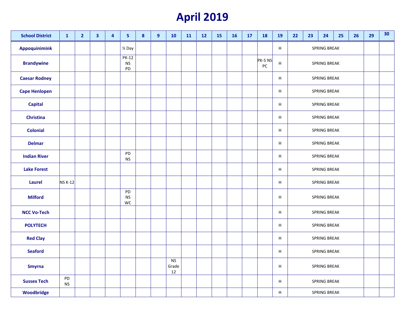### **April 2019**

| <b>School District</b> | $\mathbf{1}$    | $\overline{2}$ | 3 | 4 | 5                               | $\boldsymbol{8}$ | 9 | 10                       | 11 | 12 | <b>15</b> | <b>16</b> | 17 | <b>18</b>             | <b>19</b>      | 22 | 23 | 24                  | 25 | 26 | 29 | 30 |
|------------------------|-----------------|----------------|---|---|---------------------------------|------------------|---|--------------------------|----|----|-----------|-----------|----|-----------------------|----------------|----|----|---------------------|----|----|----|----|
| Appoquinimink          |                 |                |   |   | 1/ <sub>2</sub> Day             |                  |   |                          |    |    |           |           |    |                       | $\sf H$        |    |    | SPRING BREAK        |    |    |    |    |
| <b>Brandywine</b>      |                 |                |   |   | <b>PK-12</b><br><b>NS</b><br>PD |                  |   |                          |    |    |           |           |    | PK-5 NS<br>${\sf PC}$ | $\overline{H}$ |    |    | <b>SPRING BREAK</b> |    |    |    |    |
| <b>Caesar Rodney</b>   |                 |                |   |   |                                 |                  |   |                          |    |    |           |           |    |                       | Н              |    |    | SPRING BREAK        |    |    |    |    |
| <b>Cape Henlopen</b>   |                 |                |   |   |                                 |                  |   |                          |    |    |           |           |    |                       | $\sf H$        |    |    | <b>SPRING BREAK</b> |    |    |    |    |
| <b>Capital</b>         |                 |                |   |   |                                 |                  |   |                          |    |    |           |           |    |                       | Н              |    |    | <b>SPRING BREAK</b> |    |    |    |    |
| <b>Christina</b>       |                 |                |   |   |                                 |                  |   |                          |    |    |           |           |    |                       | Н              |    |    | SPRING BREAK        |    |    |    |    |
| <b>Colonial</b>        |                 |                |   |   |                                 |                  |   |                          |    |    |           |           |    |                       | $\sf H$        |    |    | <b>SPRING BREAK</b> |    |    |    |    |
| <b>Delmar</b>          |                 |                |   |   |                                 |                  |   |                          |    |    |           |           |    |                       | H              |    |    | SPRING BREAK        |    |    |    |    |
| <b>Indian River</b>    |                 |                |   |   | PD<br><b>NS</b>                 |                  |   |                          |    |    |           |           |    |                       | Н              |    |    | SPRING BREAK        |    |    |    |    |
| <b>Lake Forest</b>     |                 |                |   |   |                                 |                  |   |                          |    |    |           |           |    |                       | H              |    |    | SPRING BREAK        |    |    |    |    |
| Laurel                 | NS K-12         |                |   |   |                                 |                  |   |                          |    |    |           |           |    |                       | Н              |    |    | SPRING BREAK        |    |    |    |    |
| <b>Milford</b>         |                 |                |   |   | PD<br><b>NS</b><br>WC           |                  |   |                          |    |    |           |           |    |                       | $\sf H$        |    |    | SPRING BREAK        |    |    |    |    |
| <b>NCC Vo-Tech</b>     |                 |                |   |   |                                 |                  |   |                          |    |    |           |           |    |                       | $\sf H$        |    |    | <b>SPRING BREAK</b> |    |    |    |    |
| <b>POLYTECH</b>        |                 |                |   |   |                                 |                  |   |                          |    |    |           |           |    |                       | Н              |    |    | SPRING BREAK        |    |    |    |    |
| <b>Red Clay</b>        |                 |                |   |   |                                 |                  |   |                          |    |    |           |           |    |                       | Н              |    |    | SPRING BREAK        |    |    |    |    |
| <b>Seaford</b>         |                 |                |   |   |                                 |                  |   |                          |    |    |           |           |    |                       | Н              |    |    | SPRING BREAK        |    |    |    |    |
| <b>Smyrna</b>          |                 |                |   |   |                                 |                  |   | <b>NS</b><br>Grade<br>12 |    |    |           |           |    |                       | Н              |    |    | SPRING BREAK        |    |    |    |    |
| <b>Sussex Tech</b>     | PD<br><b>NS</b> |                |   |   |                                 |                  |   |                          |    |    |           |           |    |                       | Н              |    |    | SPRING BREAK        |    |    |    |    |
| Woodbridge             |                 |                |   |   |                                 |                  |   |                          |    |    |           |           |    |                       | Н              |    |    | SPRING BREAK        |    |    |    |    |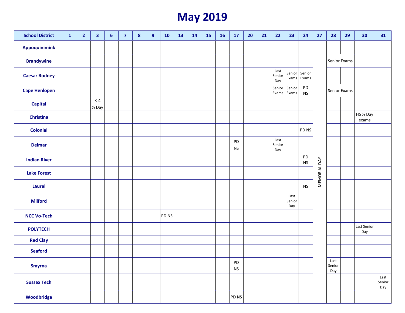### **May 2019**

| <b>School District</b> | $\mathbf{1}$ | $\overline{2}$ | $\overline{\mathbf{3}}$    | $\boldsymbol{6}$ | $\overline{7}$ | ${\bf 8}$ | 9 | <b>10</b> | 13 | 14 | <b>15</b> | <b>16</b> | 17                                 | 20 | 21 | 22                    | 23                    | 24                         | 27           | 28                    | 29 | 30                  | 31                    |
|------------------------|--------------|----------------|----------------------------|------------------|----------------|-----------|---|-----------|----|----|-----------|-----------|------------------------------------|----|----|-----------------------|-----------------------|----------------------------|--------------|-----------------------|----|---------------------|-----------------------|
| <b>Appoquinimink</b>   |              |                |                            |                  |                |           |   |           |    |    |           |           |                                    |    |    |                       |                       |                            |              |                       |    |                     |                       |
| <b>Brandywine</b>      |              |                |                            |                  |                |           |   |           |    |    |           |           |                                    |    |    |                       |                       |                            |              | Senior Exams          |    |                     |                       |
| <b>Caesar Rodney</b>   |              |                |                            |                  |                |           |   |           |    |    |           |           |                                    |    |    | Last<br>Senior<br>Day | Senior<br>Exams       | Senior<br>Exams            |              |                       |    |                     |                       |
| <b>Cape Henlopen</b>   |              |                |                            |                  |                |           |   |           |    |    |           |           |                                    |    |    | Senior<br>Exams       | Senior<br>Exams       | PD<br>$\mathsf{NS}\xspace$ |              | Senior Exams          |    |                     |                       |
| <b>Capital</b>         |              |                | $K-4$<br>$\frac{1}{2}$ Day |                  |                |           |   |           |    |    |           |           |                                    |    |    |                       |                       |                            |              |                       |    |                     |                       |
| <b>Christina</b>       |              |                |                            |                  |                |           |   |           |    |    |           |           |                                    |    |    |                       |                       |                            |              |                       |    | HS 1/2 Day<br>exams |                       |
| <b>Colonial</b>        |              |                |                            |                  |                |           |   |           |    |    |           |           |                                    |    |    |                       |                       | PD NS                      |              |                       |    |                     |                       |
| <b>Delmar</b>          |              |                |                            |                  |                |           |   |           |    |    |           |           | PD<br><b>NS</b>                    |    |    | Last<br>Senior<br>Day |                       |                            |              |                       |    |                     |                       |
| <b>Indian River</b>    |              |                |                            |                  |                |           |   |           |    |    |           |           |                                    |    |    |                       |                       | PD<br>${\sf NS}$           |              |                       |    |                     |                       |
| <b>Lake Forest</b>     |              |                |                            |                  |                |           |   |           |    |    |           |           |                                    |    |    |                       |                       |                            | MEMORIAL DAY |                       |    |                     |                       |
| Laurel                 |              |                |                            |                  |                |           |   |           |    |    |           |           |                                    |    |    |                       |                       | <b>NS</b>                  |              |                       |    |                     |                       |
| <b>Milford</b>         |              |                |                            |                  |                |           |   |           |    |    |           |           |                                    |    |    |                       | Last<br>Senior<br>Day |                            |              |                       |    |                     |                       |
| <b>NCC Vo-Tech</b>     |              |                |                            |                  |                |           |   | PD NS     |    |    |           |           |                                    |    |    |                       |                       |                            |              |                       |    |                     |                       |
| <b>POLYTECH</b>        |              |                |                            |                  |                |           |   |           |    |    |           |           |                                    |    |    |                       |                       |                            |              |                       |    | Last Senior<br>Day  |                       |
| <b>Red Clay</b>        |              |                |                            |                  |                |           |   |           |    |    |           |           |                                    |    |    |                       |                       |                            |              |                       |    |                     |                       |
| <b>Seaford</b>         |              |                |                            |                  |                |           |   |           |    |    |           |           |                                    |    |    |                       |                       |                            |              |                       |    |                     |                       |
| <b>Smyrna</b>          |              |                |                            |                  |                |           |   |           |    |    |           |           | ${\sf PD}$<br>$\mathsf{NS}\xspace$ |    |    |                       |                       |                            |              | Last<br>Senior<br>Day |    |                     |                       |
| <b>Sussex Tech</b>     |              |                |                            |                  |                |           |   |           |    |    |           |           |                                    |    |    |                       |                       |                            |              |                       |    |                     | Last<br>Senior<br>Day |
| Woodbridge             |              |                |                            |                  |                |           |   |           |    |    |           |           | PD NS                              |    |    |                       |                       |                            |              |                       |    |                     |                       |